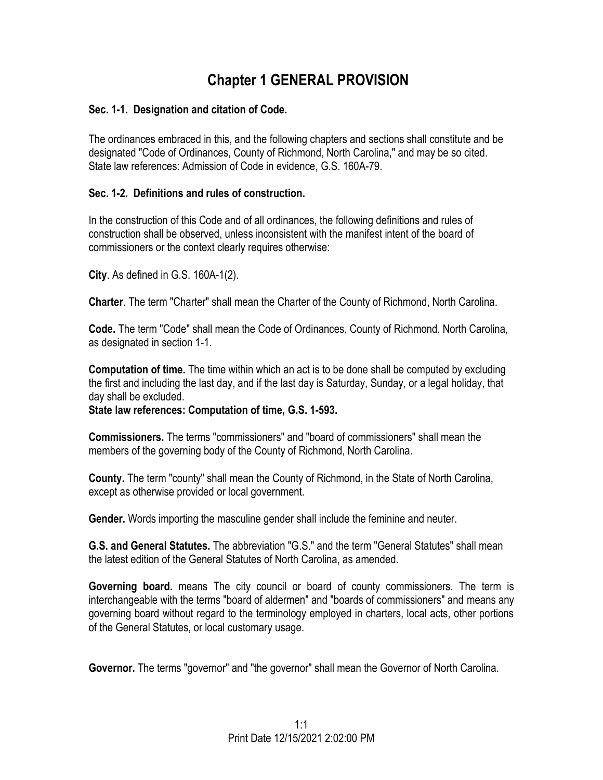# **Chapter 1 GENERAL PROVISION**

### **Sec. 1-1. Designation and citation of Code.**

The ordinances embraced in this, and the following chapters and sections shall constitute and be designated "Code of Ordinances, County of Richmond, North Carolina," and may be so cited. State law references: Admission of Code in evidence, G.S. 160A-79.

### **Sec. 1-2. Definitions and rules of construction.**

In the construction of this Code and of all ordinances, the following definitions and rules of construction shall be observed, unless inconsistent with the manifest intent of the board of commissioners or the context clearly requires otherwise:

**City**. As defined in G.S. 160A-1(2).

**Charter**. The term "Charter" shall mean the Charter of the County of Richmond, North Carolina.

**Code.** The term "Code" shall mean the Code of Ordinances, County of Richmond, North Carolina, as designated in section 1-1.

**Computation of time.** The time within which an act is to be done shall be computed by excluding the first and including the last day, and if the last day is Saturday, Sunday, or a legal holiday, that day shall be excluded.

**State law references: Computation of time, G.S. 1-593.**

**Commissioners.** The terms "commissioners" and "board of commissioners" shall mean the members of the governing body of the County of Richmond, North Carolina.

**County.** The term "county" shall mean the County of Richmond, in the State of North Carolina, except as otherwise provided or local government.

**Gender.** Words importing the masculine gender shall include the feminine and neuter.

**G.S. and General Statutes.** The abbreviation "G.S." and the term "General Statutes" shall mean the latest edition of the General Statutes of North Carolina, as amended.

**Governing board.** means The city council or board of county commissioners. The term is interchangeable with the terms "board of aldermen" and "boards of commissioners" and means any governing board without regard to the terminology employed in charters, local acts, other portions of the General Statutes, or local customary usage.

**Governor.** The terms "governor" and "the governor" shall mean the Governor of North Carolina.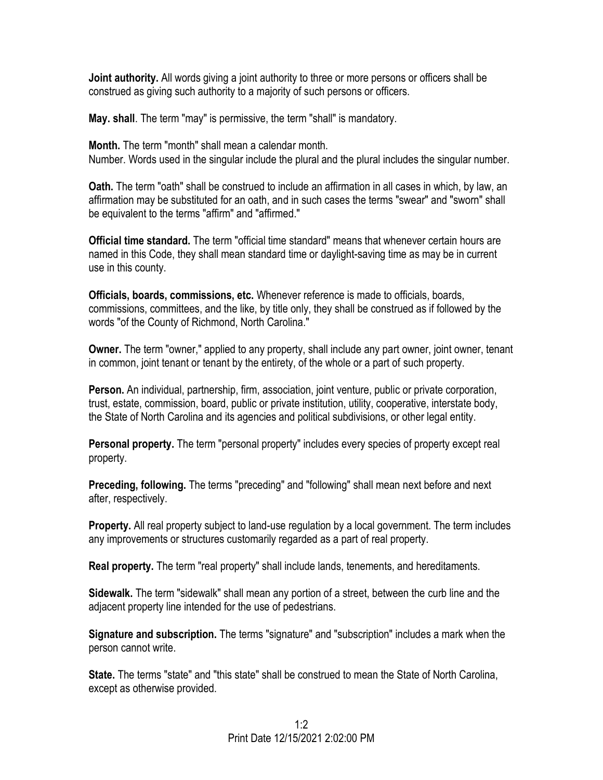**Joint authority.** All words giving a joint authority to three or more persons or officers shall be construed as giving such authority to a majority of such persons or officers.

**May. shall**. The term "may" is permissive, the term "shall" is mandatory.

**Month.** The term "month" shall mean a calendar month. Number. Words used in the singular include the plural and the plural includes the singular number.

**Oath.** The term "oath" shall be construed to include an affirmation in all cases in which, by law, an affirmation may be substituted for an oath, and in such cases the terms "swear" and "sworn" shall be equivalent to the terms "affirm" and "affirmed."

**Official time standard.** The term "official time standard" means that whenever certain hours are named in this Code, they shall mean standard time or daylight-saving time as may be in current use in this county.

**Officials, boards, commissions, etc.** Whenever reference is made to officials, boards, commissions, committees, and the like, by title only, they shall be construed as if followed by the words "of the County of Richmond, North Carolina."

**Owner.** The term "owner," applied to any property, shall include any part owner, joint owner, tenant in common, joint tenant or tenant by the entirety, of the whole or a part of such property.

**Person.** An individual, partnership, firm, association, joint venture, public or private corporation, trust, estate, commission, board, public or private institution, utility, cooperative, interstate body, the State of North Carolina and its agencies and political subdivisions, or other legal entity.

**Personal property.** The term "personal property" includes every species of property except real property.

**Preceding, following.** The terms "preceding" and "following" shall mean next before and next after, respectively.

**Property.** All real property subject to land-use regulation by a local government. The term includes any improvements or structures customarily regarded as a part of real property.

**Real property.** The term "real property" shall include lands, tenements, and hereditaments.

**Sidewalk.** The term "sidewalk" shall mean any portion of a street, between the curb line and the adjacent property line intended for the use of pedestrians.

**Signature and subscription.** The terms "signature" and "subscription" includes a mark when the person cannot write.

**State.** The terms "state" and "this state" shall be construed to mean the State of North Carolina, except as otherwise provided.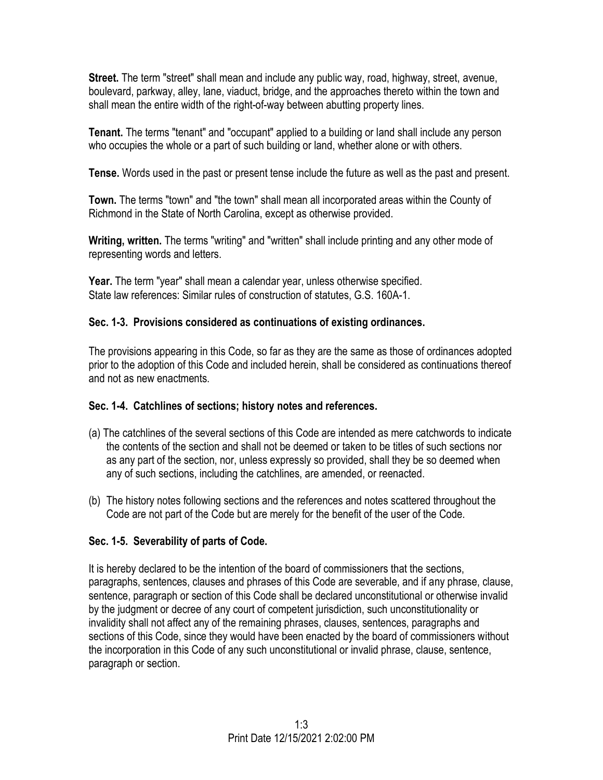**Street.** The term "street" shall mean and include any public way, road, highway, street, avenue, boulevard, parkway, alley, lane, viaduct, bridge, and the approaches thereto within the town and shall mean the entire width of the right-of-way between abutting property lines.

**Tenant.** The terms "tenant" and "occupant" applied to a building or land shall include any person who occupies the whole or a part of such building or land, whether alone or with others.

**Tense.** Words used in the past or present tense include the future as well as the past and present.

**Town.** The terms "town" and "the town" shall mean all incorporated areas within the County of Richmond in the State of North Carolina, except as otherwise provided.

**Writing, written.** The terms "writing" and "written" shall include printing and any other mode of representing words and letters.

**Year.** The term "year" shall mean a calendar year, unless otherwise specified. State law references: Similar rules of construction of statutes, G.S. 160A-1.

# **Sec. 1-3. Provisions considered as continuations of existing ordinances.**

The provisions appearing in this Code, so far as they are the same as those of ordinances adopted prior to the adoption of this Code and included herein, shall be considered as continuations thereof and not as new enactments.

## **Sec. 1-4. Catchlines of sections; history notes and references.**

- (a) The catchlines of the several sections of this Code are intended as mere catchwords to indicate the contents of the section and shall not be deemed or taken to be titles of such sections nor as any part of the section, nor, unless expressly so provided, shall they be so deemed when any of such sections, including the catchlines, are amended, or reenacted.
- (b) The history notes following sections and the references and notes scattered throughout the Code are not part of the Code but are merely for the benefit of the user of the Code.

# **Sec. 1-5. Severability of parts of Code.**

It is hereby declared to be the intention of the board of commissioners that the sections, paragraphs, sentences, clauses and phrases of this Code are severable, and if any phrase, clause, sentence, paragraph or section of this Code shall be declared unconstitutional or otherwise invalid by the judgment or decree of any court of competent jurisdiction, such unconstitutionality or invalidity shall not affect any of the remaining phrases, clauses, sentences, paragraphs and sections of this Code, since they would have been enacted by the board of commissioners without the incorporation in this Code of any such unconstitutional or invalid phrase, clause, sentence, paragraph or section.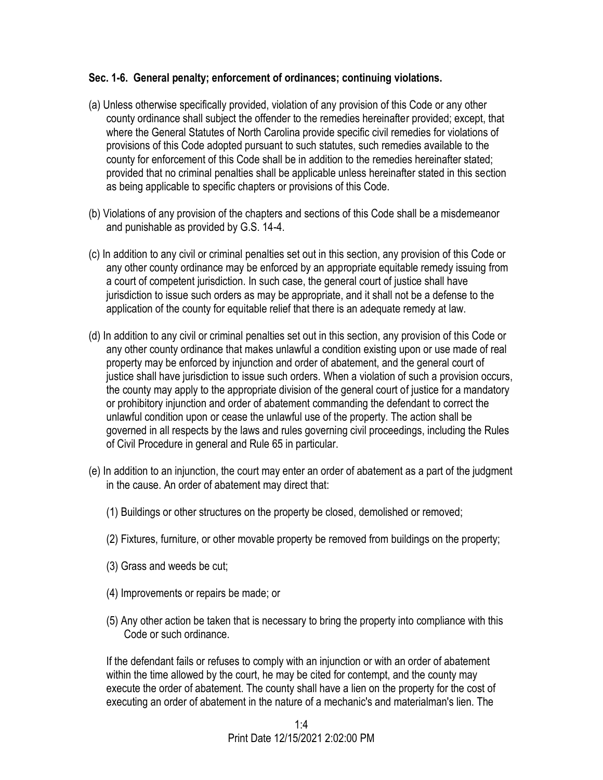### **Sec. 1-6. General penalty; enforcement of ordinances; continuing violations.**

- (a) Unless otherwise specifically provided, violation of any provision of this Code or any other county ordinance shall subject the offender to the remedies hereinafter provided; except, that where the General Statutes of North Carolina provide specific civil remedies for violations of provisions of this Code adopted pursuant to such statutes, such remedies available to the county for enforcement of this Code shall be in addition to the remedies hereinafter stated; provided that no criminal penalties shall be applicable unless hereinafter stated in this section as being applicable to specific chapters or provisions of this Code.
- (b) Violations of any provision of the chapters and sections of this Code shall be a misdemeanor and punishable as provided by G.S. 14-4.
- (c) In addition to any civil or criminal penalties set out in this section, any provision of this Code or any other county ordinance may be enforced by an appropriate equitable remedy issuing from a court of competent jurisdiction. In such case, the general court of justice shall have jurisdiction to issue such orders as may be appropriate, and it shall not be a defense to the application of the county for equitable relief that there is an adequate remedy at law.
- (d) In addition to any civil or criminal penalties set out in this section, any provision of this Code or any other county ordinance that makes unlawful a condition existing upon or use made of real property may be enforced by injunction and order of abatement, and the general court of justice shall have jurisdiction to issue such orders. When a violation of such a provision occurs, the county may apply to the appropriate division of the general court of justice for a mandatory or prohibitory injunction and order of abatement commanding the defendant to correct the unlawful condition upon or cease the unlawful use of the property. The action shall be governed in all respects by the laws and rules governing civil proceedings, including the Rules of Civil Procedure in general and Rule 65 in particular.
- (e) In addition to an injunction, the court may enter an order of abatement as a part of the judgment in the cause. An order of abatement may direct that:
	- (1) Buildings or other structures on the property be closed, demolished or removed;
	- (2) Fixtures, furniture, or other movable property be removed from buildings on the property;
	- (3) Grass and weeds be cut;
	- (4) Improvements or repairs be made; or
	- (5) Any other action be taken that is necessary to bring the property into compliance with this Code or such ordinance.

If the defendant fails or refuses to comply with an injunction or with an order of abatement within the time allowed by the court, he may be cited for contempt, and the county may execute the order of abatement. The county shall have a lien on the property for the cost of executing an order of abatement in the nature of a mechanic's and materialman's lien. The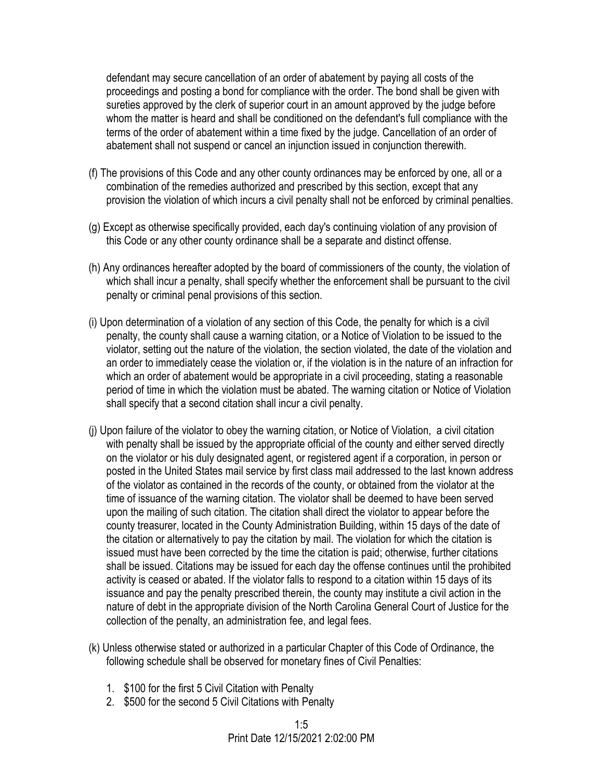defendant may secure cancellation of an order of abatement by paying all costs of the proceedings and posting a bond for compliance with the order. The bond shall be given with sureties approved by the clerk of superior court in an amount approved by the judge before whom the matter is heard and shall be conditioned on the defendant's full compliance with the terms of the order of abatement within a time fixed by the judge. Cancellation of an order of abatement shall not suspend or cancel an injunction issued in conjunction therewith.

- (f) The provisions of this Code and any other county ordinances may be enforced by one, all or a combination of the remedies authorized and prescribed by this section, except that any provision the violation of which incurs a civil penalty shall not be enforced by criminal penalties.
- (g) Except as otherwise specifically provided, each day's continuing violation of any provision of this Code or any other county ordinance shall be a separate and distinct offense.
- (h) Any ordinances hereafter adopted by the board of commissioners of the county, the violation of which shall incur a penalty, shall specify whether the enforcement shall be pursuant to the civil penalty or criminal penal provisions of this section.
- (i) Upon determination of a violation of any section of this Code, the penalty for which is a civil penalty, the county shall cause a warning citation, or a Notice of Violation to be issued to the violator, setting out the nature of the violation, the section violated, the date of the violation and an order to immediately cease the violation or, if the violation is in the nature of an infraction for which an order of abatement would be appropriate in a civil proceeding, stating a reasonable period of time in which the violation must be abated. The warning citation or Notice of Violation shall specify that a second citation shall incur a civil penalty.
- (j) Upon failure of the violator to obey the warning citation, or Notice of Violation, a civil citation with penalty shall be issued by the appropriate official of the county and either served directly on the violator or his duly designated agent, or registered agent if a corporation, in person or posted in the United States mail service by first class mail addressed to the last known address of the violator as contained in the records of the county, or obtained from the violator at the time of issuance of the warning citation. The violator shall be deemed to have been served upon the mailing of such citation. The citation shall direct the violator to appear before the county treasurer, located in the County Administration Building, within 15 days of the date of the citation or alternatively to pay the citation by mail. The violation for which the citation is issued must have been corrected by the time the citation is paid; otherwise, further citations shall be issued. Citations may be issued for each day the offense continues until the prohibited activity is ceased or abated. If the violator falls to respond to a citation within 15 days of its issuance and pay the penalty prescribed therein, the county may institute a civil action in the nature of debt in the appropriate division of the North Carolina General Court of Justice for the collection of the penalty, an administration fee, and legal fees.
- (k) Unless otherwise stated or authorized in a particular Chapter of this Code of Ordinance, the following schedule shall be observed for monetary fines of Civil Penalties:
	- 1. \$100 for the first 5 Civil Citation with Penalty
	- 2. \$500 for the second 5 Civil Citations with Penalty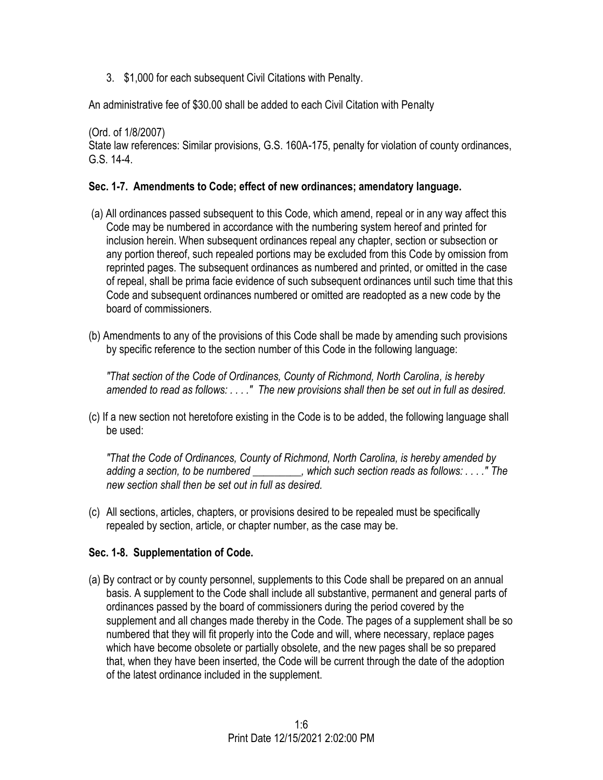3. \$1,000 for each subsequent Civil Citations with Penalty.

An administrative fee of \$30.00 shall be added to each Civil Citation with Penalty

(Ord. of 1/8/2007) State law references: Similar provisions, G.S. 160A-175, penalty for violation of county ordinances, G.S. 14-4.

### **Sec. 1-7. Amendments to Code; effect of new ordinances; amendatory language.**

- (a) All ordinances passed subsequent to this Code, which amend, repeal or in any way affect this Code may be numbered in accordance with the numbering system hereof and printed for inclusion herein. When subsequent ordinances repeal any chapter, section or subsection or any portion thereof, such repealed portions may be excluded from this Code by omission from reprinted pages. The subsequent ordinances as numbered and printed, or omitted in the case of repeal, shall be prima facie evidence of such subsequent ordinances until such time that this Code and subsequent ordinances numbered or omitted are readopted as a new code by the board of commissioners.
- (b) Amendments to any of the provisions of this Code shall be made by amending such provisions by specific reference to the section number of this Code in the following language:

*"That section of the Code of Ordinances, County of Richmond, North Carolina, is hereby amended to read as follows: . . . ." The new provisions shall then be set out in full as desired.*

(c) If a new section not heretofore existing in the Code is to be added, the following language shall be used:

*"That the Code of Ordinances, County of Richmond, North Carolina, is hereby amended by adding a section, to be numbered \_\_\_\_\_\_\_\_\_, which such section reads as follows: . . . ." The new section shall then be set out in full as desired.*

(c) All sections, articles, chapters, or provisions desired to be repealed must be specifically repealed by section, article, or chapter number, as the case may be.

## **Sec. 1-8. Supplementation of Code.**

(a) By contract or by county personnel, supplements to this Code shall be prepared on an annual basis. A supplement to the Code shall include all substantive, permanent and general parts of ordinances passed by the board of commissioners during the period covered by the supplement and all changes made thereby in the Code. The pages of a supplement shall be so numbered that they will fit properly into the Code and will, where necessary, replace pages which have become obsolete or partially obsolete, and the new pages shall be so prepared that, when they have been inserted, the Code will be current through the date of the adoption of the latest ordinance included in the supplement.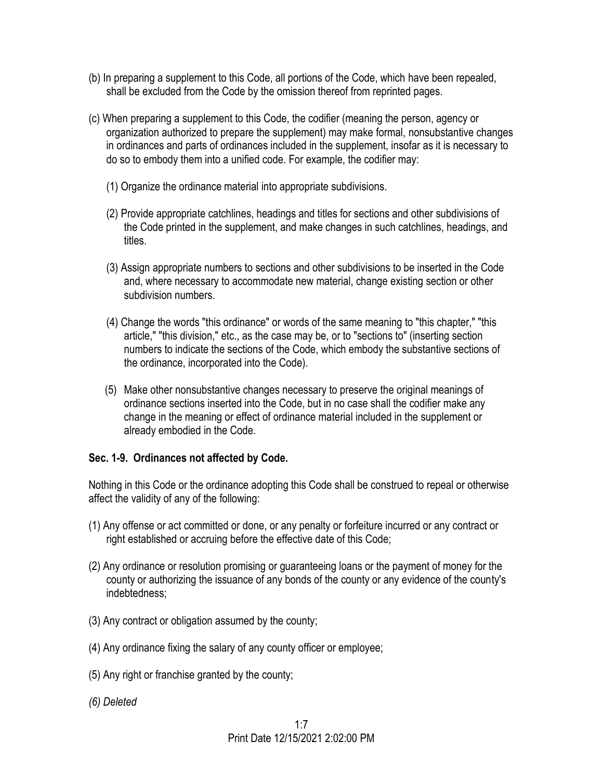- (b) In preparing a supplement to this Code, all portions of the Code, which have been repealed, shall be excluded from the Code by the omission thereof from reprinted pages.
- (c) When preparing a supplement to this Code, the codifier (meaning the person, agency or organization authorized to prepare the supplement) may make formal, nonsubstantive changes in ordinances and parts of ordinances included in the supplement, insofar as it is necessary to do so to embody them into a unified code. For example, the codifier may:
	- (1) Organize the ordinance material into appropriate subdivisions.
	- (2) Provide appropriate catchlines, headings and titles for sections and other subdivisions of the Code printed in the supplement, and make changes in such catchlines, headings, and titles.
	- (3) Assign appropriate numbers to sections and other subdivisions to be inserted in the Code and, where necessary to accommodate new material, change existing section or other subdivision numbers.
	- (4) Change the words "this ordinance" or words of the same meaning to "this chapter," "this article," "this division," etc., as the case may be, or to "sections to" (inserting section numbers to indicate the sections of the Code, which embody the substantive sections of the ordinance, incorporated into the Code).
	- (5) Make other nonsubstantive changes necessary to preserve the original meanings of ordinance sections inserted into the Code, but in no case shall the codifier make any change in the meaning or effect of ordinance material included in the supplement or already embodied in the Code.

#### **Sec. 1-9. Ordinances not affected by Code.**

Nothing in this Code or the ordinance adopting this Code shall be construed to repeal or otherwise affect the validity of any of the following:

- (1) Any offense or act committed or done, or any penalty or forfeiture incurred or any contract or right established or accruing before the effective date of this Code;
- (2) Any ordinance or resolution promising or guaranteeing loans or the payment of money for the county or authorizing the issuance of any bonds of the county or any evidence of the county's indebtedness;
- (3) Any contract or obligation assumed by the county;
- (4) Any ordinance fixing the salary of any county officer or employee;
- (5) Any right or franchise granted by the county;
- *(6) Deleted*